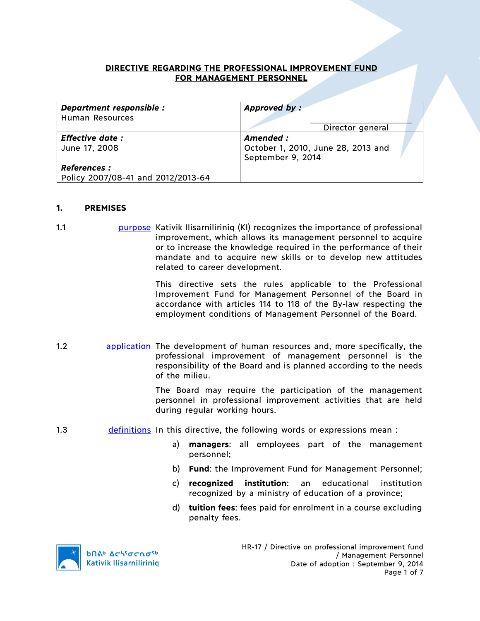### **DIRECTIVE REGARDING THE PROFESSIONAL IMPROVEMENT FUND FOR MANAGEMENT PERSONNEL**

| Department responsible :<br><b>Human Resources</b>        | Approved by:<br>Director general                                    |
|-----------------------------------------------------------|---------------------------------------------------------------------|
| <b>Effective date:</b><br>June 17, 2008                   | Amended:<br>October 1, 2010, June 28, 2013 and<br>September 9, 2014 |
| <b>References :</b><br>Policy 2007/08-41 and 2012/2013-64 |                                                                     |

#### **1. PREMISES**

1.1 purpose Kativik Ilisarniliriniq (KI) recognizes the importance of professional improvement, which allows its management personnel to acquire or to increase the knowledge required in the performance of their mandate and to acquire new skills or to develop new attitudes related to career development.

> This directive sets the rules applicable to the Professional Improvement Fund for Management Personnel of the Board in accordance with articles 114 to 118 of the By-law respecting the employment conditions of Management Personnel of the Board.

1.2 **application** The development of human resources and, more specifically, the professional improvement of management personnel is the responsibility of the Board and is planned according to the needs of the milieu.

> The Board may require the participation of the management personnel in professional improvement activities that are held during regular working hours.

- 1.3 definitions In this directive, the following words or expressions mean :
	- a) **managers**: all employees part of the management personnel;
	- b) **Fund**: the Improvement Fund for Management Personnel;
	- c) **recognized institution**: an educational institution recognized by a ministry of education of a province;
	- d) **tuition fees**: fees paid for enrolment in a course excluding penalty fees.

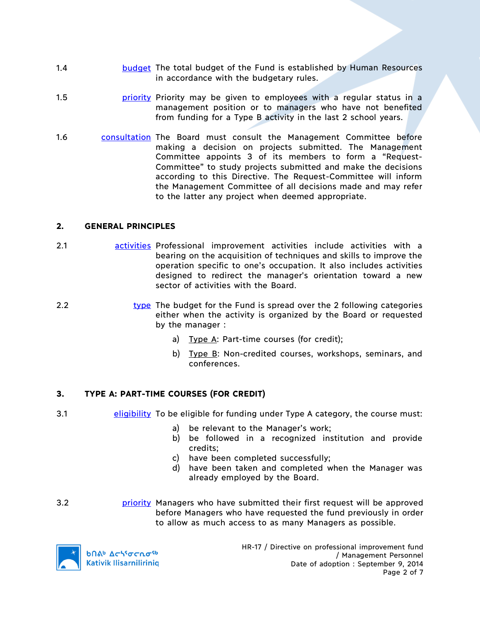- 1.4 budget The total budget of the Fund is established by Human Resources in accordance with the budgetary rules.
- 1.5 **priority Priority may be given to employees with a regular status in a** management position or to managers who have not benefited from funding for a Type B activity in the last 2 school years.
- 1.6 consultation The Board must consult the Management Committee before making a decision on projects submitted. The Management Committee appoints 3 of its members to form a "Request-Committee" to study projects submitted and make the decisions according to this Directive. The Request-Committee will inform the Management Committee of all decisions made and may refer to the latter any project when deemed appropriate.

# **2. GENERAL PRINCIPLES**

- 2.1 activities Professional improvement activities include activities with a bearing on the acquisition of techniques and skills to improve the operation specific to one's occupation. It also includes activities designed to redirect the manager's orientation toward a new sector of activities with the Board.
- 2.2 type The budget for the Fund is spread over the 2 following categories either when the activity is organized by the Board or requested by the manager :
	- a) Type A: Part-time courses (for credit);
	- b) Type B: Non-credited courses, workshops, seminars, and conferences.

# **3. TYPE A: PART-TIME COURSES (FOR CREDIT)**

- 3.1 eligibility To be eligible for funding under Type A category, the course must:
	- a) be relevant to the Manager's work;
	- b) be followed in a recognized institution and provide credits;
	- c) have been completed successfully;
	- d) have been taken and completed when the Manager was already employed by the Board.
- 3.2 priority Managers who have submitted their first request will be approved before Managers who have requested the fund previously in order to allow as much access to as many Managers as possible.



HR-17 / Directive on professional improvement fund / Management Personnel Date of adoption : September 9, 2014 Page 2 of 7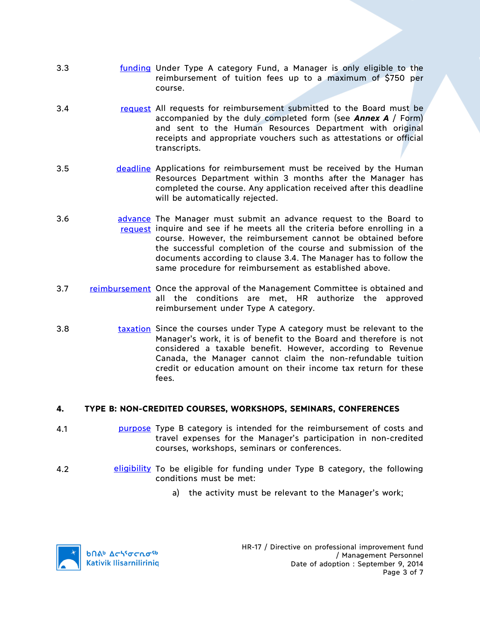- 3.3 **funding Under Type A category Fund, a Manager is only eligible to the** reimbursement of tuition fees up to a maximum of \$750 per course.
- 3.4 request All requests for reimbursement submitted to the Board must be accompanied by the duly completed form (see *Annex A* / Form) and sent to the Human Resources Department with original receipts and appropriate vouchers such as attestations or official transcripts.
- 3.5 **deadline Applications for reimbursement must be received by the Human** Resources Department within 3 months after the Manager has completed the course. Any application received after this deadline will be automatically rejected.
- 3.6 **advance** The Manager must submit an advance request to the Board to request inquire and see if he meets all the criteria before enrolling in a course. However, the reimbursement cannot be obtained before the successful completion of the course and submission of the documents according to clause 3.4. The Manager has to follow the same procedure for reimbursement as established above.
- 3.7 reimbursement Once the approval of the Management Committee is obtained and all the conditions are met, HR authorize the approved reimbursement under Type A category.
- 3.8 taxation Since the courses under Type A category must be relevant to the Manager's work, it is of benefit to the Board and therefore is not considered a taxable benefit. However, according to Revenue Canada, the Manager cannot claim the non-refundable tuition credit or education amount on their income tax return for these fees.

# **4. TYPE B: NON-CREDITED COURSES, WORKSHOPS, SEMINARS, CONFERENCES**

- 4.1 purpose Type B category is intended for the reimbursement of costs and travel expenses for the Manager's participation in non-credited courses, workshops, seminars or conferences.
- 4.2 **eligibility** To be eligible for funding under Type B category, the following conditions must be met:
	- a) the activity must be relevant to the Manager's work;

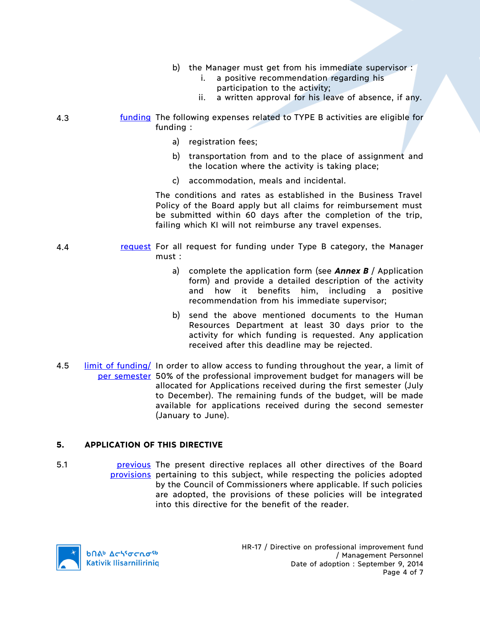- b) the Manager must get from his immediate supervisor :
	- i. a positive recommendation regarding his participation to the activity;
	- ii. a written approval for his leave of absence, if any.
- 4.3 funding The following expenses related to TYPE B activities are eligible for funding :
	- a) registration fees;
	- b) transportation from and to the place of assignment and the location where the activity is taking place;
	- c) accommodation, meals and incidental.

The conditions and rates as established in the Business Travel Policy of the Board apply but all claims for reimbursement must be submitted within 60 days after the completion of the trip, failing which KI will not reimburse any travel expenses.

- 4.4 request For all request for funding under Type B category, the Manager must :
	- a) complete the application form (see *Annex B* / Application form) and provide a detailed description of the activity and how it benefits him, including a positive recommendation from his immediate supervisor;
	- b) send the above mentioned documents to the Human Resources Department at least 30 days prior to the activity for which funding is requested. Any application received after this deadline may be rejected.
- 4.5 limit of funding/ In order to allow access to funding throughout the year, a limit of per semester 50% of the professional improvement budget for managers will be allocated for Applications received during the first semester (July to December). The remaining funds of the budget, will be made available for applications received during the second semester (January to June).

#### **5. APPLICATION OF THIS DIRECTIVE**

5.1 **business** present directive replaces all other directives of the Board provisions pertaining to this subject, while respecting the policies adopted by the Council of Commissioners where applicable. If such policies are adopted, the provisions of these policies will be integrated into this directive for the benefit of the reader.

**b**Πል<sup>b</sup> Δςιγσς ησ<sup>ς 6</sup> **Kativik Ilisarniliriniq**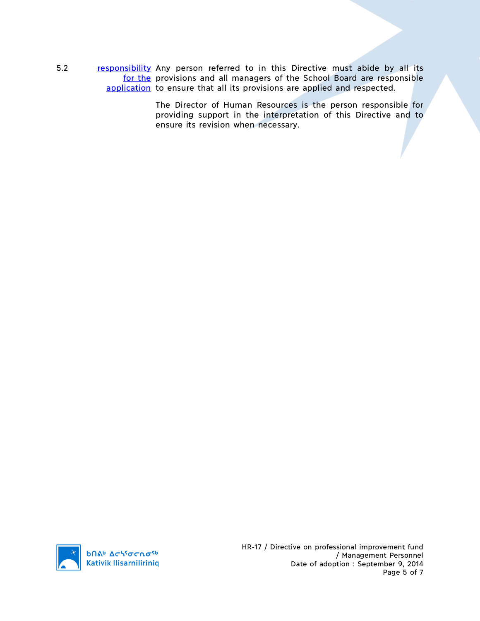5.2 responsibility Any person referred to in this Directive must abide by all its for the provisions and all managers of the School Board are responsible application to ensure that all its provisions are applied and respected.

> The Director of Human Resources is the person responsible for providing support in the interpretation of this Directive and to ensure its revision when necessary.

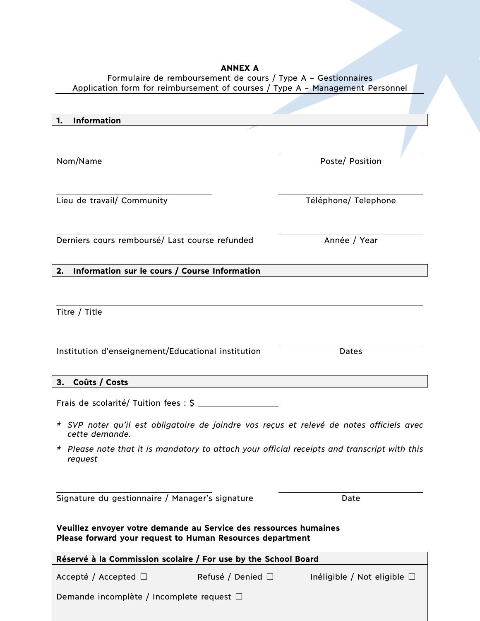#### **ANNEX A** Formulaire de remboursement de cours / Type A – Gestionnaires

Application form for reimbursement of courses / Type A – Management Personnel

| <b>Information</b><br>1.                                                                                                       |                        |                                  |
|--------------------------------------------------------------------------------------------------------------------------------|------------------------|----------------------------------|
|                                                                                                                                |                        |                                  |
| Nom/Name                                                                                                                       |                        | Poste/ Position                  |
|                                                                                                                                |                        |                                  |
| Lieu de travail/ Community                                                                                                     |                        | Téléphone/ Telephone             |
|                                                                                                                                |                        |                                  |
|                                                                                                                                |                        |                                  |
| Derniers cours remboursé/ Last course refunded                                                                                 |                        | Année / Year                     |
| Information sur le cours / Course Information<br>2.                                                                            |                        |                                  |
|                                                                                                                                |                        |                                  |
| Titre / Title                                                                                                                  |                        |                                  |
|                                                                                                                                |                        |                                  |
|                                                                                                                                |                        |                                  |
| Institution d'enseignement/Educational institution                                                                             |                        | Dates                            |
|                                                                                                                                |                        |                                  |
| Coûts / Costs<br>3.                                                                                                            |                        |                                  |
|                                                                                                                                |                        |                                  |
| * SVP noter qu'il est obligatoire de joindre vos reçus et relevé de notes officiels avec<br>cette demande.                     |                        |                                  |
| * Please note that it is mandatory to attach your official receipts and transcript with this                                   |                        |                                  |
| request                                                                                                                        |                        |                                  |
|                                                                                                                                |                        |                                  |
| Signature du gestionnaire / Manager's signature                                                                                |                        | Date                             |
|                                                                                                                                |                        |                                  |
| Veuillez envoyer votre demande au Service des ressources humaines<br>Please forward your request to Human Resources department |                        |                                  |
| Réservé à la Commission scolaire / For use by the School Board                                                                 |                        |                                  |
| Accepté / Accepted $\Box$                                                                                                      | Refusé / Denied $\Box$ | Inéligible / Not eligible $\Box$ |
|                                                                                                                                |                        |                                  |
| Demande incomplète / Incomplete request □                                                                                      |                        |                                  |
|                                                                                                                                |                        |                                  |